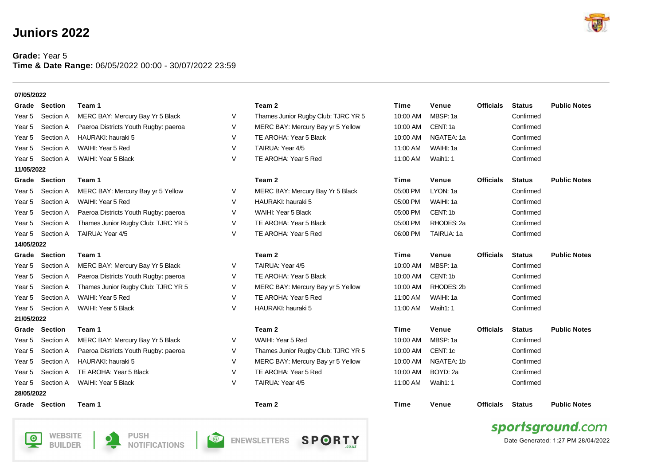## **Juniors 2022**

## **Grade:** Year 5 **Time & Date Range:** 06/05/2022 00:00 - 30/07/2022 23:59

**NOTIFICATIONS** 

**BUILDER** 





Date Generated: 1:27 PM 28/04/2022